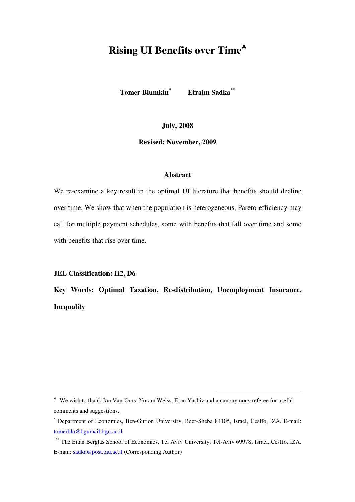# **Rising UI Benefits over Time**♣

**Tomer Blumkin\* Efraim Sadka**\*\*

**July, 2008** 

**Revised: November, 2009** 

# **Abstract**

We re-examine a key result in the optimal UI literature that benefits should decline over time. We show that when the population is heterogeneous, Pareto-efficiency may call for multiple payment schedules, some with benefits that fall over time and some with benefits that rise over time.

**JEL Classification: H2, D6** 

**Key Words: Optimal Taxation, Re-distribution, Unemployment Insurance, Inequality** 

<sup>♣</sup> We wish to thank Jan Van-Ours, Yoram Weiss, Eran Yashiv and an anonymous referee for useful comments and suggestions.

<sup>\*</sup> Department of Economics, Ben-Gurion University, Beer-Sheba 84105, Israel, CesIfo, IZA. E-mail: tomerblu@bgumail.bgu.ac.il.

<sup>\*\*</sup> The Eitan Berglas School of Economics, Tel Aviv University, Tel-Aviv 69978, Israel, CesIfo, IZA. E-mail: sadka@post.tau.ac.il (Corresponding Author)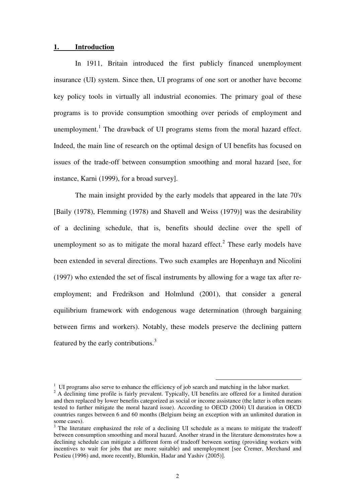# **1. Introduction**

In 1911, Britain introduced the first publicly financed unemployment insurance (UI) system. Since then, UI programs of one sort or another have become key policy tools in virtually all industrial economies. The primary goal of these programs is to provide consumption smoothing over periods of employment and unemployment.<sup>1</sup> The drawback of UI programs stems from the moral hazard effect. Indeed, the main line of research on the optimal design of UI benefits has focused on issues of the trade-off between consumption smoothing and moral hazard [see, for instance, Karni (1999), for a broad survey].

The main insight provided by the early models that appeared in the late 70's [Baily (1978), Flemming (1978) and Shavell and Weiss (1979)] was the desirability of a declining schedule, that is, benefits should decline over the spell of unemployment so as to mitigate the moral hazard effect.<sup>2</sup> These early models have been extended in several directions. Two such examples are Hopenhayn and Nicolini (1997) who extended the set of fiscal instruments by allowing for a wage tax after reemployment; and Fredrikson and Holmlund (2001), that consider a general equilibrium framework with endogenous wage determination (through bargaining between firms and workers). Notably, these models preserve the declining pattern featured by the early contributions.<sup>3</sup>

<sup>&</sup>lt;sup>1</sup> UI programs also serve to enhance the efficiency of job search and matching in the labor market.

<sup>&</sup>lt;sup>2</sup> A declining time profile is fairly prevalent. Typically, UI benefits are offered for a limited duration and then replaced by lower benefits categorized as social or income assistance (the latter is often means tested to further mitigate the moral hazard issue). According to OECD (2004) UI duration in OECD countries ranges between 6 and 60 months (Belgium being an exception with an unlimited duration in some cases).

<sup>&</sup>lt;sup>3</sup> The literature emphasized the role of a declining UI schedule as a means to mitigate the tradeoff between consumption smoothing and moral hazard. Another strand in the literature demonstrates how a declining schedule can mitigate a different form of tradeoff between sorting (providing workers with incentives to wait for jobs that are more suitable) and unemployment [see Cremer, Merchand and Pestieu (1996) and, more recently, Blumkin, Hadar and Yashiv (2005)].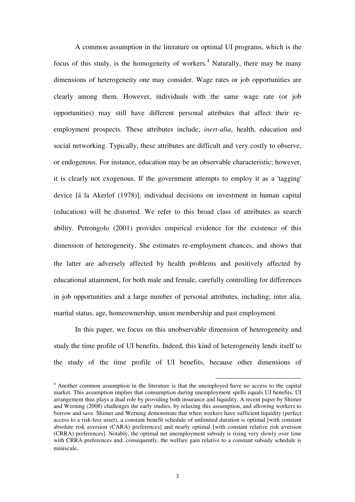A common assumption in the literature on optimal UI programs, which is the focus of this study, is the homogeneity of workers.<sup>4</sup> Naturally, there may be many dimensions of heterogeneity one may consider. Wage rates or job opportunities are clearly among them. However, individuals with the same wage rate (or job opportunities) may still have different personal attributes that affect their reemployment prospects. These attributes include; *inert-alia*, health, education and social networking. Typically, these attributes are difficult and very costly to observe, or endogenous. For instance, education may be an observable characteristic; however, it is clearly not exogenous. If the government attempts to employ it as a 'tagging' device [á la Akerlof (1978)], individual decisions on investment in human capital (education) will be distorted. We refer to this broad class of attributes as search ability. Petrongolo (2001) provides empirical evidence for the existence of this dimension of heterogeneity. She estimates re-employment chances, and shows that the latter are adversely affected by health problems and positively affected by educational attainment, for both male and female, carefully controlling for differences in job opportunities and a large number of personal attributes, including; inter alia, marital status, age, homeownership, union membership and past employment.

In this paper, we focus on this unobservable dimension of heterogeneity and study the time profile of UI benefits. Indeed, this kind of heterogeneity lends itself to the study of the time profile of UI benefits, because other dimensions of

<sup>&</sup>lt;sup>4</sup> Another common assumption in the literature is that the unemployed have no access to the capital market. This assumption implies that consumption during unemployment spells equals UI benefits. UI arrangement thus plays a dual role by providing both insurance and liquidity. A recent paper by Shimer and Werning (2008) challenges the early studies, by relaxing this assumption, and allowing workers to borrow and save. Shimer and Werning demonstrate that when workers have sufficient liquidity (perfect access to a risk-less asset), a constant benefit schedule of unlimited duration is optimal [with constant absolute risk aversion (CARA) preferences] and nearly optimal [with constant relative risk aversion (CRRA) preferences]. Notably, the optimal net unemployment subsidy is rising very slowly over time with CRRA preferences and, consequently, the welfare gain relative to a constant subsidy schedule is miniscule.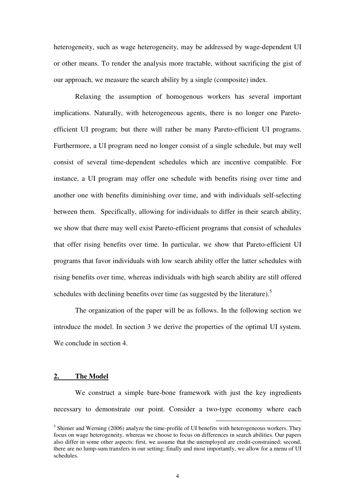heterogeneity, such as wage heterogeneity, may be addressed by wage-dependent UI or other means. To render the analysis more tractable, without sacrificing the gist of our approach, we measure the search ability by a single (composite) index.

Relaxing the assumption of homogenous workers has several important implications. Naturally, with heterogeneous agents, there is no longer one Paretoefficient UI program; but there will rather be many Pareto-efficient UI programs. Furthermore, a UI program need no longer consist of a single schedule, but may well consist of several time-dependent schedules which are incentive compatible. For instance, a UI program may offer one schedule with benefits rising over time and another one with benefits diminishing over time, and with individuals self-selecting between them. Specifically, allowing for individuals to differ in their search ability, we show that there may well exist Pareto-efficient programs that consist of schedules that offer rising benefits over time. In particular, we show that Pareto-efficient UI programs that favor individuals with low search ability offer the latter schedules with rising benefits over time, whereas individuals with high search ability are still offered schedules with declining benefits over time (as suggested by the literature).<sup>5</sup>

 The organization of the paper will be as follows. In the following section we introduce the model. In section 3 we derive the properties of the optimal UI system. We conclude in section 4.

# **2. The Model**

We construct a simple bare-bone framework with just the key ingredients necessary to demonstrate our point. Consider a two-type economy where each

 $<sup>5</sup>$  Shimer and Werning (2006) analyze the time-profile of UI benefits with heterogeneous workers. They</sup> focus on wage heterogeneity, whereas we choose to focus on differences in search abilities. Our papers also differ in some other aspects: first, we assume that the unemployed are credit-constrained; second, there are no lump-sum transfers in our setting; finally and most importantly, we allow for a menu of UI schedules.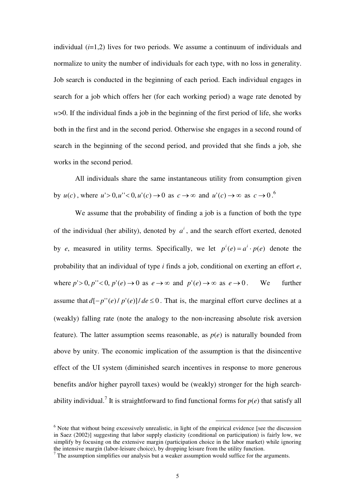individual (*i*=1,2) lives for two periods. We assume a continuum of individuals and normalize to unity the number of individuals for each type, with no loss in generality. Job search is conducted in the beginning of each period. Each individual engages in search for a job which offers her (for each working period) a wage rate denoted by *w*>0. If the individual finds a job in the beginning of the first period of life, she works both in the first and in the second period. Otherwise she engages in a second round of search in the beginning of the second period, and provided that she finds a job, she works in the second period.

All individuals share the same instantaneous utility from consumption given by  $u(c)$ , where  $u' > 0$ ,  $u'' < 0$ ,  $u'(c) \rightarrow 0$  as  $c \rightarrow \infty$  and  $u'(c) \rightarrow \infty$  as  $c \rightarrow 0$ .<sup>6</sup>

 We assume that the probability of finding a job is a function of both the type of the individual (her ability), denoted by  $a^i$ , and the search effort exerted, denoted by *e*, measured in utility terms. Specifically, we let  $p^{i}(e) = a^{i} \cdot p(e)$  denote the probability that an individual of type *i* finds a job, conditional on exerting an effort *e*, where  $p' > 0$ ,  $p'' < 0$ ,  $p' (e) \rightarrow 0$  as  $e \rightarrow \infty$  and  $p' (e) \rightarrow \infty$  as  $e \rightarrow 0$ . We further assume that  $d[-p'(\mathbf{e})/p'(\mathbf{e})]/d\mathbf{e} \leq 0$ . That is, the marginal effort curve declines at a (weakly) falling rate (note the analogy to the non-increasing absolute risk aversion feature). The latter assumption seems reasonable, as  $p(e)$  is naturally bounded from above by unity. The economic implication of the assumption is that the disincentive effect of the UI system (diminished search incentives in response to more generous benefits and/or higher payroll taxes) would be (weakly) stronger for the high searchability individual.<sup>7</sup> It is straightforward to find functional forms for  $p(e)$  that satisfy all

 $6$  Note that without being excessively unrealistic, in light of the empirical evidence [see the discussion in Saez (2002)] suggesting that labor supply elasticity (conditional on participation) is fairly low, we simplify by focusing on the extensive margin (participation choice in the labor market) while ignoring the intensive margin (labor-leisure choice), by dropping leisure from the utility function.

<sup>&</sup>lt;sup>7</sup> The assumption simplifies our analysis but a weaker assumption would suffice for the arguments.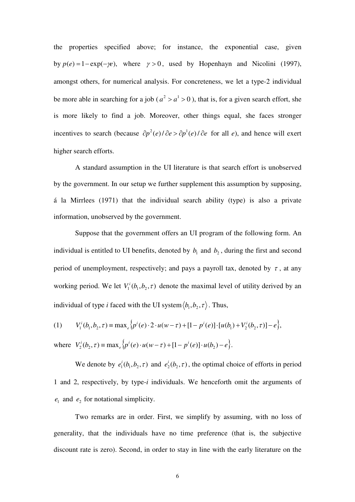the properties specified above; for instance, the exponential case, given by  $p(e) = 1 - \exp(-\gamma e)$ , where  $\gamma > 0$ , used by Hopenhayn and Nicolini (1997), amongst others, for numerical analysis. For concreteness, we let a type-2 individual be more able in searching for a job ( $a^2 > a^1 > 0$ ), that is, for a given search effort, she is more likely to find a job. Moreover, other things equal, she faces stronger incentives to search (because  $\partial p^2(e) / \partial e > \partial p^1(e) / \partial e$  for all *e*), and hence will exert higher search efforts.

A standard assumption in the UI literature is that search effort is unobserved by the government. In our setup we further supplement this assumption by supposing, á la Mirrlees (1971) that the individual search ability (type) is also a private information, unobserved by the government.

Suppose that the government offers an UI program of the following form. An individual is entitled to UI benefits, denoted by  $b_1$  and  $b_2$ , during the first and second period of unemployment, respectively; and pays a payroll tax, denoted by  $\tau$ , at any working period. We let  $V_1^i(b_1, b_2, \tau)$  denote the maximal level of utility derived by an individual of type *i* faced with the UI system  $\langle b_1, b_2, \tau \rangle$ . Thus,

(1) 
$$
V_1^i(b_1, b_2, \tau) = \max_e \{ p^i(e) \cdot 2 \cdot u(w - \tau) + [1 - p^i(e)] \cdot [u(b_1) + V_2^i(b_2, \tau)] - e \},
$$

where  $V_2^i(b_2, \tau) = \max_e \{ p^i(e) \cdot u(w - \tau) + [1 - p^i(e)] \cdot u(b_2) - e \}.$ *e i*  $\chi_2^{i}(b_2, \tau) = \max_e \{ p^{i}(e) \cdot u(w - \tau) + [1 - p^{i}(e)] \cdot u(b_2) - e \}.$ 

We denote by  $e_1^i(b_1, b_2, \tau)$  and  $e_2^i(b_2, \tau)$ , the optimal choice of efforts in period 1 and 2, respectively, by type-*i* individuals. We henceforth omit the arguments of  $e_1$  and  $e_2$  for notational simplicity.

Two remarks are in order. First, we simplify by assuming, with no loss of generality, that the individuals have no time preference (that is, the subjective discount rate is zero). Second, in order to stay in line with the early literature on the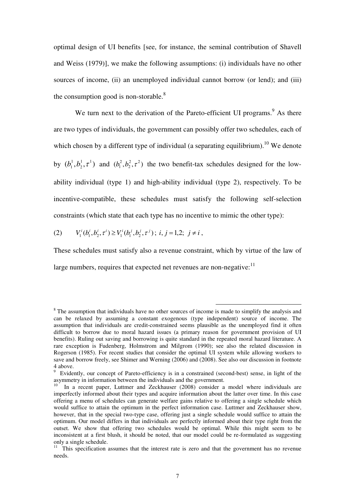optimal design of UI benefits [see, for instance, the seminal contribution of Shavell and Weiss (1979)], we make the following assumptions: (i) individuals have no other sources of income, (ii) an unemployed individual cannot borrow (or lend); and (iii) the consumption good is non-storable. $8<sup>8</sup>$ 

We turn next to the derivation of the Pareto-efficient UI programs.<sup>9</sup> As there are two types of individuals, the government can possibly offer two schedules, each of which chosen by a different type of individual (a separating equilibrium).<sup>10</sup> We denote by  $(b_1^1, b_2^1, \tau^1)$ 2  $b_1^1, b_2^1, \tau^1$  and  $(b_1^2, b_2^2, \tau^2)$ 2 2  $b_1^2, b_2^2, \tau^2$ ) the two benefit-tax schedules designed for the lowability individual (type 1) and high-ability individual (type 2), respectively. To be incentive-compatible, these schedules must satisfy the following self-selection constraints (which state that each type has no incentive to mimic the other type):

(2) 
$$
V_1^i(b_1^i, b_2^i, \tau^i) \ge V_1^i(b_1^j, b_2^j, \tau^j)
$$
;  $i, j = 1,2; j \ne i$ ,

These schedules must satisfy also a revenue constraint, which by virtue of the law of large numbers, requires that expected net revenues are non-negative: $11$ 

<sup>&</sup>lt;sup>8</sup> The assumption that individuals have no other sources of income is made to simplify the analysis and <sup>8</sup> can be relaxed by assuming a constant exogenous (type independent) source of income. The assumption that individuals are credit-constrained seems plausible as the unemployed find it often difficult to borrow due to moral hazard issues (a primary reason for government provision of UI benefits). Ruling out saving and borrowing is quite standard in the repeated moral hazard literature. A rare exception is Fudenberg, Holmstrom and Milgrom (1990); see also the related discussion in Rogerson (1985). For recent studies that consider the optimal UI system while allowing workers to save and borrow freely, see Shimer and Werning (2006) and (2008). See also our discussion in footnote 4 above.<br><sup>9</sup> Evider

Evidently, our concept of Pareto-efficiency is in a constrained (second-best) sense, in light of the asymmetry in information between the individuals and the government.

In a recent paper, Luttmer and Zeckhauser (2008) consider a model where individuals are imperfectly informed about their types and acquire information about the latter over time. In this case offering a menu of schedules can generate welfare gains relative to offering a single schedule which would suffice to attain the optimum in the perfect information case. Luttmer and Zeckhauser show, however, that in the special two-type case, offering just a single schedule would suffice to attain the optimum. Our model differs in that individuals are perfectly informed about their type right from the outset. We show that offering two schedules would be optimal. While this might seem to be inconsistent at a first blush, it should be noted, that our model could be re-formulated as suggesting only a single schedule.

 $11$  This specification assumes that the interest rate is zero and that the government has no revenue needs.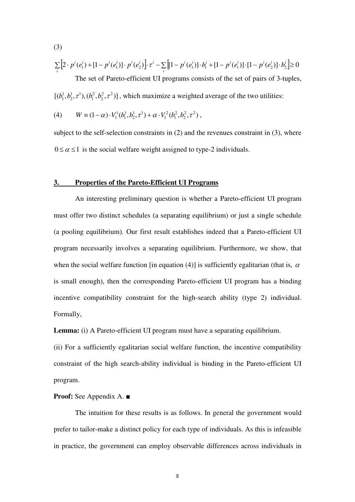(3)

$$
\sum_{i} \left[ 2 \cdot p^{i} (e_{1}^{i}) + [1 - p^{i} (e_{1}^{i})] \cdot p^{i} (e_{2}^{i}) \right] \cdot \tau^{i} - \sum_{i} \left[ [1 - p^{i} (e_{1}^{i})] \cdot b_{1}^{i} + [1 - p^{i} (e_{1}^{i})] \cdot [1 - p^{i} (e_{2}^{i})] \cdot b_{2}^{i} \right] \ge 0
$$
  
The set of Pareto-efficient UI programs consists of the set of pairs of 3-tuples,

 $[(b_{\scriptscriptstyle 1}^{\scriptscriptstyle 1}, b_{\scriptscriptstyle 2}^{\scriptscriptstyle 1}, \tau^{\scriptscriptstyle 1}), (b_{\scriptscriptstyle 1}^{\scriptscriptstyle 2}, b_{\scriptscriptstyle 2}^{\scriptscriptstyle 2}, \tau^{\scriptscriptstyle 2})]$ 2 1  $1 \nightharpoonup 1$ 2 1  $b_1^1, b_2^1, \tau^1$ ,  $(b_1^2, b_2^2, \tau^2)$ ], which maximize a weighted average of the two utilities:

(4) 
$$
W \equiv (1 - \alpha) \cdot V_1^1(b_1^1, b_2^1, \tau^1) + \alpha \cdot V_1^2(b_1^2, b_2^2, \tau^2),
$$

subject to the self-selection constraints in (2) and the revenues constraint in (3), where  $0 \le \alpha \le 1$  is the social welfare weight assigned to type-2 individuals.

## **3. Properties of the Pareto-Efficient UI Programs**

 An interesting preliminary question is whether a Pareto-efficient UI program must offer two distinct schedules (a separating equilibrium) or just a single schedule (a pooling equilibrium). Our first result establishes indeed that a Pareto-efficient UI program necessarily involves a separating equilibrium. Furthermore, we show, that when the social welfare function [in equation (4)] is sufficiently egalitarian (that is,  $\alpha$ is small enough), then the corresponding Pareto-efficient UI program has a binding incentive compatibility constraint for the high-search ability (type 2) individual. Formally,

Lemma: (i) A Pareto-efficient UI program must have a separating equilibrium.

(ii) For a sufficiently egalitarian social welfare function, the incentive compatibility constraint of the high search-ability individual is binding in the Pareto-efficient UI program.

# **Proof:** See Appendix A. ■

 The intuition for these results is as follows. In general the government would prefer to tailor-make a distinct policy for each type of individuals. As this is infeasible in practice, the government can employ observable differences across individuals in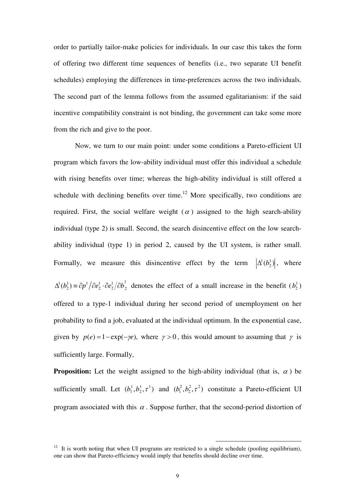order to partially tailor-make policies for individuals. In our case this takes the form of offering two different time sequences of benefits (i.e., two separate UI benefit schedules) employing the differences in time-preferences across the two individuals. The second part of the lemma follows from the assumed egalitarianism: if the said incentive compatibility constraint is not binding, the government can take some more from the rich and give to the poor.

Now, we turn to our main point: under some conditions a Pareto-efficient UI program which favors the low-ability individual must offer this individual a schedule with rising benefits over time; whereas the high-ability individual is still offered a schedule with declining benefits over time.<sup>12</sup> More specifically, two conditions are required. First, the social welfare weight ( $\alpha$ ) assigned to the high search-ability individual (type 2) is small. Second, the search disincentive effect on the low searchability individual (type 1) in period 2, caused by the UI system, is rather small. Formally, we measure this disincentive effect by the term  $\Delta^1(b_2^1)$  $\Delta^1(b_2^1)$ , where 1 2 1 2 1 2  $1 - 2n^1$  $\Delta^1(b_2^1) \equiv \partial p^1/\partial e_2^1 \cdot \partial e_2^1/\partial b_2^1$  denotes the effect of a small increase in the benefit  $(b_2^1)$ offered to a type-1 individual during her second period of unemployment on her probability to find a job, evaluated at the individual optimum. In the exponential case, given by  $p(e) = 1 - \exp(-\gamma e)$ , where  $\gamma > 0$ , this would amount to assuming that  $\gamma$  is sufficiently large. Formally,

**Proposition:** Let the weight assigned to the high-ability individual (that is,  $\alpha$ ) be sufficiently small. Let  $(b_1^1, b_2^1, \tau^1)$ 2 1  $b_1^1, b_2^1, \tau^1$  and  $(b_1^2, b_2^2, \tau^2)$ 2 2  $b_1^2, b_2^2, \tau^2$ ) constitute a Pareto-efficient UI program associated with this  $\alpha$ . Suppose further, that the second-period distortion of

 $12$  It is worth noting that when UI programs are restricted to a single schedule (pooling equilibrium), one can show that Pareto-efficiency would imply that benefits should decline over time.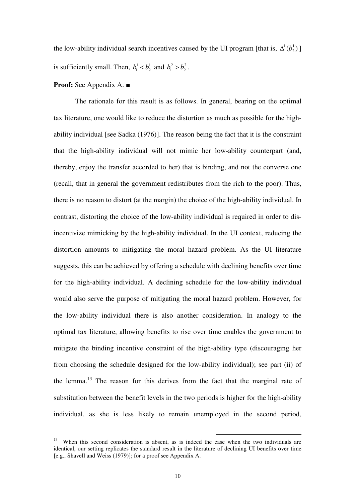the low-ability individual search incentives caused by the UI program [that is,  $\Delta^1(b_2^1)$  $\Delta^{\! 1}(b_2^1)\,]$ is sufficiently small. Then,  $b_1^1 < b_2^1$ 1  $b_1^1 < b_2^1$  and  $b_1^2 > b_2^2$ 2  $b_1^2 > b_2^2$ .

# **Proof:** See Appendix A. ■

 The rationale for this result is as follows. In general, bearing on the optimal tax literature, one would like to reduce the distortion as much as possible for the highability individual [see Sadka (1976)]. The reason being the fact that it is the constraint that the high-ability individual will not mimic her low-ability counterpart (and, thereby, enjoy the transfer accorded to her) that is binding, and not the converse one (recall, that in general the government redistributes from the rich to the poor). Thus, there is no reason to distort (at the margin) the choice of the high-ability individual. In contrast, distorting the choice of the low-ability individual is required in order to disincentivize mimicking by the high-ability individual. In the UI context, reducing the distortion amounts to mitigating the moral hazard problem. As the UI literature suggests, this can be achieved by offering a schedule with declining benefits over time for the high-ability individual. A declining schedule for the low-ability individual would also serve the purpose of mitigating the moral hazard problem. However, for the low-ability individual there is also another consideration. In analogy to the optimal tax literature, allowing benefits to rise over time enables the government to mitigate the binding incentive constraint of the high-ability type (discouraging her from choosing the schedule designed for the low-ability individual); see part (ii) of the lemma.<sup>13</sup> The reason for this derives from the fact that the marginal rate of substitution between the benefit levels in the two periods is higher for the high-ability individual, as she is less likely to remain unemployed in the second period,

 $13$  When this second consideration is absent, as is indeed the case when the two individuals are identical, our setting replicates the standard result in the literature of declining UI benefits over time [e.g., Shavell and Weiss (1979)]; for a proof see Appendix A.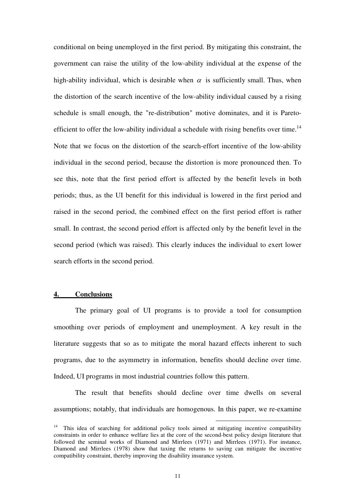conditional on being unemployed in the first period. By mitigating this constraint, the government can raise the utility of the low-ability individual at the expense of the high-ability individual, which is desirable when  $\alpha$  is sufficiently small. Thus, when the distortion of the search incentive of the low-ability individual caused by a rising schedule is small enough, the "re-distribution" motive dominates, and it is Paretoefficient to offer the low-ability individual a schedule with rising benefits over time.<sup>14</sup> Note that we focus on the distortion of the search-effort incentive of the low-ability individual in the second period, because the distortion is more pronounced then. To see this, note that the first period effort is affected by the benefit levels in both periods; thus, as the UI benefit for this individual is lowered in the first period and raised in the second period, the combined effect on the first period effort is rather small. In contrast, the second period effort is affected only by the benefit level in the second period (which was raised). This clearly induces the individual to exert lower search efforts in the second period.

#### **4. Conclusions**

The primary goal of UI programs is to provide a tool for consumption smoothing over periods of employment and unemployment. A key result in the literature suggests that so as to mitigate the moral hazard effects inherent to such programs, due to the asymmetry in information, benefits should decline over time. Indeed, UI programs in most industrial countries follow this pattern.

 The result that benefits should decline over time dwells on several assumptions; notably, that individuals are homogenous. In this paper, we re-examine

<sup>&</sup>lt;sup>14</sup> This idea of searching for additional policy tools aimed at mitigating incentive compatibility constraints in order to enhance welfare lies at the core of the second-best policy design literature that followed the seminal works of Diamond and Mirrlees (1971) and Mirrlees (1971). For instance, Diamond and Mirrlees (1978) show that taxing the returns to saving can mitigate the incentive compatibility constraint, thereby improving the disability insurance system.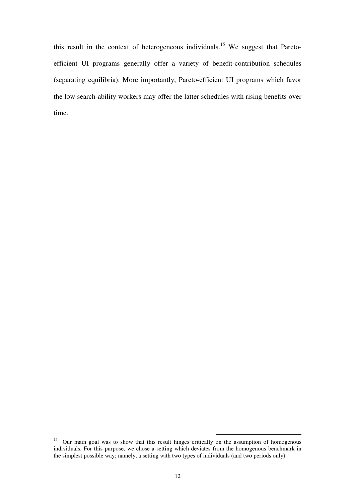this result in the context of heterogeneous individuals.<sup>15</sup> We suggest that Paretoefficient UI programs generally offer a variety of benefit-contribution schedules (separating equilibria). More importantly, Pareto-efficient UI programs which favor the low search-ability workers may offer the latter schedules with rising benefits over time.

<sup>&</sup>lt;sup>15</sup> Our main goal was to show that this result hinges critically on the assumption of homogenous Dur main goal was to show that this result images erroring on the assumption of remegner individuals. For this purpose, we chose a setting which deviates from the homogenous benchmark in the simplest possible way; namely, a setting with two types of individuals (and two periods only).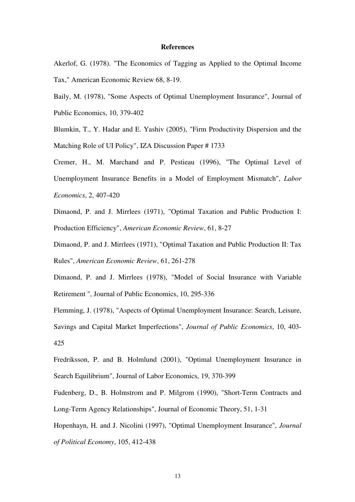## **References**

Akerlof, G. (1978). "The Economics of Tagging as Applied to the Optimal Income Tax," American Economic Review 68, 8-19.

Baily, M. (1978), "Some Aspects of Optimal Unemployment Insurance", Journal of Public Economics, 10, 379-402

Blumkin, T., Y. Hadar and E. Yashiv (2005), "Firm Productivity Dispersion and the Matching Role of UI Policy", IZA Discussion Paper # 1733

Cremer, H., M. Marchand and P. Pestieau (1996), "The Optimal Level of Unemployment Insurance Benefits in a Model of Employment Mismatch", *Labor Economics*, 2, 407-420

Dimaond, P. and J. Mirrlees (1971), "Optimal Taxation and Public Production I: Production Efficiency", *American Economic Review*, 61, 8-27

Dimaond, P. and J. Mirrlees (1971), "Optimal Taxation and Public Production II: Tax Rules", *American Economic Review*, 61, 261-278

Dimaond, P. and J. Mirrlees (1978), "Model of Social Insurance with Variable Retirement ", Journal of Public Economics, 10, 295-336

Flemming, J. (1978), "Aspects of Optimal Unemployment Insurance: Search, Leisure, Savings and Capital Market Imperfections", *Journal of Public Economics*, 10, 403- 425

Fredriksson, P. and B. Holmlund (2001), "Optimal Unemployment Insurance in Search Equilibrium", Journal of Labor Economics, 19, 370-399

Fudenberg, D., B. Holmstrom and P. Milgrom (1990), "Short-Term Contracts and Long-Term Agency Relationships", Journal of Economic Theory, 51, 1-31

Hopenhayn, H. and J. Nicolini (1997), "Optimal Unemployment Insurance", *Journal of Political Economy*, 105, 412-438

13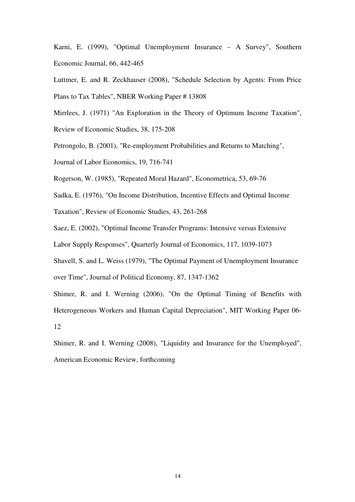Karni, E. (1999), "Optimal Unemployment Insurance – A Survey", Southern Economic Journal, 66, 442-465

Luttmer, E. and R. Zeckhauser (2008), "Schedule Selection by Agents: From Price Plans to Tax Tables", NBER Working Paper # 13808

- Mirrlees, J. (1971) "An Exploration in the Theory of Optimum Income Taxation", Review of Economic Studies, 38, 175-208
- Petrongolo, B. (2001), "Re-employment Probabilities and Returns to Matching",
- Journal of Labor Economics, 19, 716-741

Rogerson, W. (1985), "Repeated Moral Hazard", Econometrica, 53, 69-76

Sadka, E. (1976), "On Income Distribution, Incentive Effects and Optimal Income

Taxation", Review of Economic Studies, 43, 261-268

Saez, E. (2002), "Optimal Income Transfer Programs: Intensive versus Extensive

Labor Supply Responses", Quarterly Journal of Economics, 117, 1039-1073

Shavell, S. and L. Weiss (1979), "The Optimal Payment of Unemployment Insurance over Time", Journal of Political Economy, 87, 1347-1362

Shimer, R. and I. Werning (2006), "On the Optimal Timing of Benefits with Heterogeneous Workers and Human Capital Depreciation", MIT Working Paper 06- 12

Shimer, R. and I. Werning (2008), "Liquidity and Insurance for the Unemployed", American Economic Review, forthcoming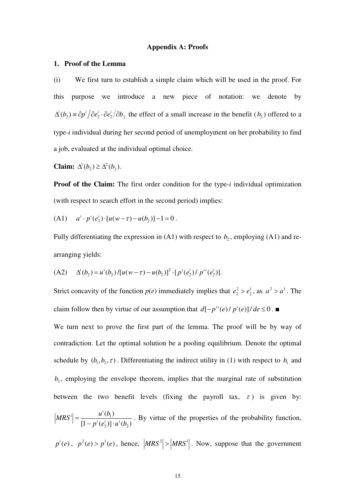## **Appendix A: Proofs**

#### **1. Proof of the Lemma**

(i) We first turn to establish a simple claim which will be used in the proof. For this purpose we introduce a new piece of notation: we denote by  $\Delta^i(b_2) = \partial p^i / \partial e_2^i \cdot \partial e_2^i / \partial b_2$  the effect of a small increase in the benefit (*b*<sub>2</sub>) offered to a type-*i* individual during her second period of unemployment on her probability to find a job, evaluated at the individual optimal choice.

**Claim:**  $\Delta^1(b_2) \geq \Delta^2(b_2)$ .  $\Delta^1(b_2) \geq \Delta^2(b_2)$ 

**Proof of the Claim:** The first order condition for the type-*i* individual optimization (with respect to search effort in the second period) implies:

(A1) 
$$
a^i \cdot p^i(e_2^i) \cdot [u(w-\tau)-u(b_2)]-1=0
$$
.

Fully differentiating the expression in  $(A1)$  with respect to  $b_2$ , employing  $(A1)$  and rearranging yields:

(A2) 
$$
\Delta^{i}(b_2) = u'(b_2) / [u(w - \tau) - u(b_2)]^2 \cdot [p'(e_2') / p''(e_2')] .
$$

Strict concavity of the function  $p(e)$  immediately implies that  $e_2^2 > e_2^1$ 2  $e_2^2 > e_2^1$ , as  $a^2 > a^1$ . The claim follow then by virtue of our assumption that  $d[-p'](e)/p'(e)]/de \leq 0$ .■

We turn next to prove the first part of the lemma. The proof will be by way of contradiction. Let the optimal solution be a pooling equilibrium. Denote the optimal schedule by  $(b_1, b_2, \tau)$ . Differentiating the indirect utility in (1) with respect to  $b_1$  and  $b_2$ , employing the envelope theorem, implies that the marginal rate of substitution between the two benefit levels (fixing the payroll tax,  $\tau$ ) is given by:  $[1-p'(e_2')] \cdot u'(b_2)$  $'(b_1)$ 2/ $\binom{n}{2}$ 1  $p^{\iota}(e_2^{\iota})\cdot u^{\iota}(b)$  $MRS^i$  =  $\frac{u'(b)}{1 - u'(c^i)}$  $-p^i(e_2^i)\cdot$  $=\frac{a_1(b_1)}{b_1^2 + b_2^2 + b_3^2}$ . By virtue of the properties of the probability function,  $p^{i}(e)$ ,  $p^{2}(e) > p^{1}(e)$ , hence,  $|MRS^{2}| > |MRS^{1}|$ . Now, suppose that the government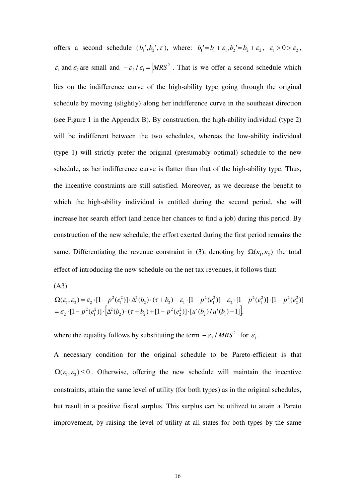offers a second schedule  $(b_1, b_2, \tau)$ , where:  $b_1 = b_1 + \varepsilon_1, b_2 = b_2 + \varepsilon_2, \quad \varepsilon_1 > 0 > \varepsilon_2$ ,  $\varepsilon_1$  and  $\varepsilon_2$  are small and  $-\varepsilon_2/\varepsilon_1 = |MRS^2|$ . That is we offer a second schedule which lies on the indifference curve of the high-ability type going through the original schedule by moving (slightly) along her indifference curve in the southeast direction (see Figure 1 in the Appendix B). By construction, the high-ability individual (type 2) will be indifferent between the two schedules, whereas the low-ability individual (type 1) will strictly prefer the original (presumably optimal) schedule to the new schedule, as her indifference curve is flatter than that of the high-ability type. Thus, the incentive constraints are still satisfied. Moreover, as we decrease the benefit to which the high-ability individual is entitled during the second period, she will increase her search effort (and hence her chances to find a job) during this period. By construction of the new schedule, the effort exerted during the first period remains the same. Differentiating the revenue constraint in (3), denoting by  $\Omega(\varepsilon_1, \varepsilon_2)$  the total effect of introducing the new schedule on the net tax revenues, it follows that:

(A3)

$$
\Omega(\varepsilon_1, \varepsilon_2) = \varepsilon_2 \cdot [1 - p^2(e_1^2)] \cdot \Delta^2(b_2) \cdot (\tau + b_2) - \varepsilon_1 \cdot [1 - p^2(e_1^2)] - \varepsilon_2 \cdot [1 - p^2(e_1^2)] \cdot [1 - p^2(e_2^2)]
$$
  
=  $\varepsilon_2 \cdot [1 - p^2(e_1^2)] \cdot [\Delta^2(b_2) \cdot (\tau + b_2) + [1 - p^2(e_2^2)] \cdot [u'(b_2)/u'(b_1) - 1]]$ 

where the equality follows by substituting the term  $-\varepsilon_2 / |MRS^2|$  for  $\varepsilon_1$ .

A necessary condition for the original schedule to be Pareto-efficient is that  $\Omega(\varepsilon_1, \varepsilon_2) \le 0$ . Otherwise, offering the new schedule will maintain the incentive constraints, attain the same level of utility (for both types) as in the original schedules, but result in a positive fiscal surplus. This surplus can be utilized to attain a Pareto improvement, by raising the level of utility at all states for both types by the same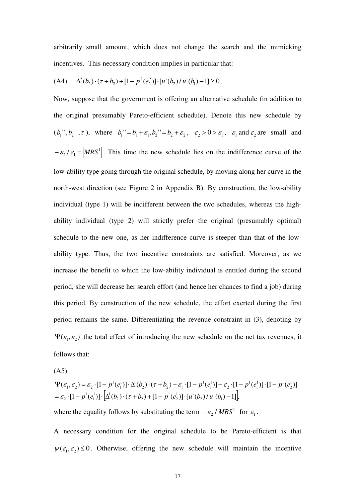arbitrarily small amount, which does not change the search and the mimicking incentives. This necessary condition implies in particular that:

(A4) 
$$
\Delta^2(b_2) \cdot (\tau + b_2) + [1 - p^2(e_2^2)] \cdot [u'(b_2)/u'(b_1) - 1] \ge 0.
$$

Now, suppose that the government is offering an alternative schedule (in addition to the original presumably Pareto-efficient schedule). Denote this new schedule by  $(b_1'', b_2'', \tau)$ , where  $b_1''=b_1 + \varepsilon_1, b_2''=b_2 + \varepsilon_2, \quad \varepsilon_2 > 0 > \varepsilon_1, \quad \varepsilon_1 \text{ and } \varepsilon_2 \text{ are small and}$  $-\varepsilon_2/\varepsilon_1 = |MRS^1|$ . This time the new schedule lies on the indifference curve of the low-ability type going through the original schedule, by moving along her curve in the north-west direction (see Figure 2 in Appendix B). By construction, the low-ability individual (type 1) will be indifferent between the two schedules, whereas the highability individual (type 2) will strictly prefer the original (presumably optimal) schedule to the new one, as her indifference curve is steeper than that of the lowability type. Thus, the two incentive constraints are satisfied. Moreover, as we increase the benefit to which the low-ability individual is entitled during the second period, she will decrease her search effort (and hence her chances to find a job) during this period. By construction of the new schedule, the effort exerted during the first period remains the same. Differentiating the revenue constraint in (3), denoting by  $\Psi(\varepsilon_1, \varepsilon_2)$  the total effect of introducing the new schedule on the net tax revenues, it follows that:

(A5)

$$
\Psi(\varepsilon_1, \varepsilon_2) = \varepsilon_2 \cdot [1 - p^1(e_1^1)] \cdot \Delta^1(b_2) \cdot (\tau + b_2) - \varepsilon_1 \cdot [1 - p^1(e_1^1)] - \varepsilon_2 \cdot [1 - p^1(e_1^1)] \cdot [1 - p^1(e_2^1)]
$$
  
=  $\varepsilon_2 \cdot [1 - p^1(e_1^1)] \cdot [\Delta^1(b_2) \cdot (\tau + b_2) + [1 - p^1(e_2^1)] \cdot [u'(b_2)/u'(b_1) - 1]]$ 

where the equality follows by substituting the term  $-\varepsilon_2 / |MRS^1|$  for  $\varepsilon_1$ .

A necessary condition for the original schedule to be Pareto-efficient is that  $\psi(\varepsilon_1, \varepsilon_2) \leq 0$ . Otherwise, offering the new schedule will maintain the incentive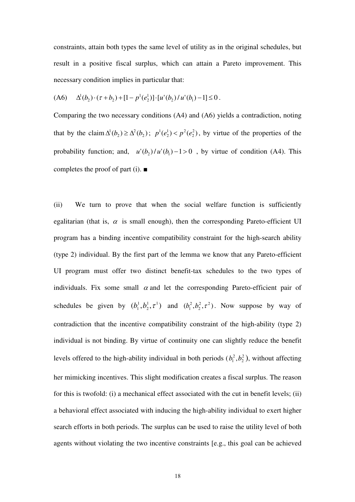constraints, attain both types the same level of utility as in the original schedules, but result in a positive fiscal surplus, which can attain a Pareto improvement. This necessary condition implies in particular that:

(A6) 
$$
\Delta^1(b_2)\cdot(\tau+b_2)+[1-p^1(e_2^1)]\cdot[u'(b_2)/u'(b_1)-1]\leq 0.
$$

Comparing the two necessary conditions (A4) and (A6) yields a contradiction, noting that by the claim  $\Delta^1(b_2) \ge \Delta^2(b_2)$ 2  $\Delta^1(b_2) \geq \Delta^2(b_2)$ ;  $p^1(e_2^1) < p^2(e_2^2)$ 2  $1^{1}$   $\sim$   $n^{2}$ 2  $p^{1}(e_2^1) < p^{2}(e_2^2)$ , by virtue of the properties of the probability function; and,  $u'(b_2)/u'(b_1) - 1 > 0$ , by virtue of condition (A4). This completes the proof of part (i). ■

(ii) We turn to prove that when the social welfare function is sufficiently egalitarian (that is,  $\alpha$  is small enough), then the corresponding Pareto-efficient UI program has a binding incentive compatibility constraint for the high-search ability (type 2) individual. By the first part of the lemma we know that any Pareto-efficient UI program must offer two distinct benefit-tax schedules to the two types of individuals. Fix some small  $\alpha$  and let the corresponding Pareto-efficient pair of schedules be given by  $(b_1^1, b_2^1, \tau^1)$ 2  $b_1^1, b_2^1, \tau^1$  and  $(b_1^2, b_2^2, \tau^2)$ 2 2  $b_1^2, b_2^2, \tau^2$ ). Now suppose by way of contradiction that the incentive compatibility constraint of the high-ability (type 2) individual is not binding. By virtue of continuity one can slightly reduce the benefit levels offered to the high-ability individual in both periods  $(b_1^2, b_2^2)$ 2  $b_1^2, b_2^2$ ), without affecting her mimicking incentives. This slight modification creates a fiscal surplus. The reason for this is twofold: (i) a mechanical effect associated with the cut in benefit levels; (ii) a behavioral effect associated with inducing the high-ability individual to exert higher search efforts in both periods. The surplus can be used to raise the utility level of both agents without violating the two incentive constraints [e.g., this goal can be achieved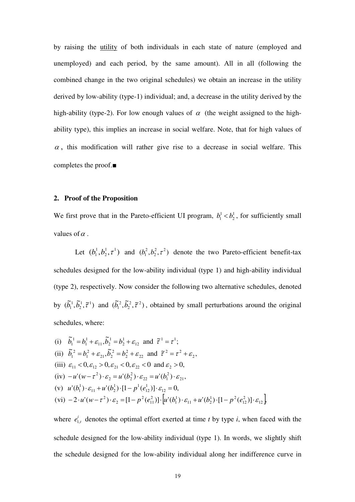by raising the utility of both individuals in each state of nature (employed and unemployed) and each period, by the same amount). All in all (following the combined change in the two original schedules) we obtain an increase in the utility derived by low-ability (type-1) individual; and, a decrease in the utility derived by the high-ability (type-2). For low enough values of  $\alpha$  (the weight assigned to the highability type), this implies an increase in social welfare. Note, that for high values of  $\alpha$ , this modification will rather give rise to a decrease in social welfare. This completes the proof.■

# **2. Proof of the Proposition**

We first prove that in the Pareto-efficient UI program,  $b_1^1 < b_2^1$ 1  $b_1^1 < b_2^1$ , for sufficiently small values of  $\alpha$ .

Let  $(b_1^1, b_2^1, \tau^1)$ 2  $b_1^1, b_2^1, \tau^1$  and  $(b_1^2, b_2^2, \tau^2)$ 2 2  $b_1^2$ ,  $b_2^2$ ,  $\tau^2$ ) denote the two Pareto-efficient benefit-tax schedules designed for the low-ability individual (type 1) and high-ability individual (type 2), respectively. Now consider the following two alternative schedules, denoted by  $(\tilde{b}_1^1, \tilde{b}_2^1, \tilde{\tau}^1)$ 2 1  $\tilde{b}_1^1$ ,  $\tilde{b}_2^1$ ,  $\tilde{\tau}^1$ ) and  $(\tilde{b}_1^2, \tilde{b}_2^2, \tilde{\tau}^2)$ 2 2  $b_1^2$ ,  $b_2^2$ ,  $\tilde{\tau}^2$ ), obtained by small perturbations around the original schedules, where:

(i) 
$$
\tilde{b}_1^1 = b_1^1 + \varepsilon_{11}, \tilde{b}_2^1 = b_2^1 + \varepsilon_{12}
$$
 and  $\tilde{\tau}^1 = \tau^1$ ;  
\n(ii)  $\tilde{b}_1^2 = b_1^2 + \varepsilon_{21}, \tilde{b}_2^2 = b_2^2 + \varepsilon_{22}$  and  $\tilde{\tau}^2 = \tau^2 + \varepsilon_2$ ,  
\n(iii)  $\varepsilon_{11} < 0, \varepsilon_{12} > 0, \varepsilon_{21} < 0, \varepsilon_{22} < 0$  and  $\varepsilon_2 > 0$ ,  
\n(iv)  $-u'(w - \tau^2) \cdot \varepsilon_2 = u'(b_2^2) \cdot \varepsilon_{22} = u'(b_1^2) \cdot \varepsilon_{21}$ ,  
\n(v)  $u'(b_1^1) \cdot \varepsilon_{11} + u'(b_2^1) \cdot [1 - p^1(e_{12}^1)] \cdot \varepsilon_{12} = 0$ ,  
\n(vi)  $-2 \cdot u'(w - \tau^2) \cdot \varepsilon_2 = [1 - p^2(e_{11}^2)] \cdot [u'(b_1^1) \cdot \varepsilon_{11} + u'(b_2^1) \cdot [1 - p^2(e_{12}^2)] \cdot \varepsilon_{12}]$ 

where  $e_{1,t}^{i}$  denotes the optimal effort exerted at time *t* by type *i*, when faced with the schedule designed for the low-ability individual (type 1). In words, we slightly shift the schedule designed for the low-ability individual along her indifference curve in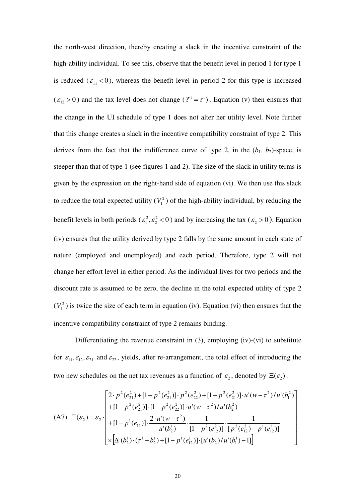the north-west direction, thereby creating a slack in the incentive constraint of the high-ability individual. To see this, observe that the benefit level in period 1 for type 1 is reduced ( $\varepsilon_{11}$  < 0), whereas the benefit level in period 2 for this type is increased  $(\varepsilon_{12} > 0)$  and the tax level does not change  $(\tilde{\tau}^1 = \tau^1)$ . Equation (v) then ensures that the change in the UI schedule of type 1 does not alter her utility level. Note further that this change creates a slack in the incentive compatibility constraint of type 2. This derives from the fact that the indifference curve of type 2, in the  $(b_1, b_2)$ -space, is steeper than that of type 1 (see figures 1 and 2). The size of the slack in utility terms is given by the expression on the right-hand side of equation (vi). We then use this slack to reduce the total expected utility  $(V_1^2)$  of the high-ability individual, by reducing the benefit levels in both periods ( $\varepsilon_1^2, \varepsilon_2^2 < 0$ 2  $\varepsilon_1^2$ ,  $\varepsilon_2^2$  < 0 ) and by increasing the tax ( $\varepsilon_2$  > 0). Equation (iv) ensures that the utility derived by type 2 falls by the same amount in each state of nature (employed and unemployed) and each period. Therefore, type 2 will not change her effort level in either period. As the individual lives for two periods and the discount rate is assumed to be zero, the decline in the total expected utility of type 2  $(V_1^2)$  is twice the size of each term in equation (iv). Equation (vi) then ensures that the incentive compatibility constraint of type 2 remains binding.

Differentiating the revenue constraint in (3), employing (iv)-(vi) to substitute for  $\varepsilon_{11}, \varepsilon_{12}, \varepsilon_{21}$  and  $\varepsilon_{22}$ , yields, after re-arrangement, the total effect of introducing the two new schedules on the net tax revenues as a function of  $\varepsilon_2$ , denoted by  $\Xi(\varepsilon_2)$ :

$$
(A7) \ \ \Xi(\varepsilon_2) = \varepsilon_2 \cdot \left[ \begin{array}{l} 2 \cdot p^2(e_{21}^2) + [1 - p^2(e_{21}^2)] \cdot p^2(e_{22}^2) + [1 - p^2(e_{21}^2)] \cdot u'(w - \tau^2)/u'(b_1^2) \\ + [1 - p^2(e_{21}^2)] \cdot [1 - p^2(e_{22}^2)] \cdot u'(w - \tau^2)/u'(b_2^2) \\ + [1 - p^1(e_{11}^1)] \cdot \frac{2 \cdot u'(w - \tau^2)}{u'(b_2^1)} \cdot \frac{1}{[1 - p^2(e_{12}^2)]} \cdot \frac{1}{[p^2(e_{12}^2) - p^1(e_{12}^1)]} \\ \times [\Delta^1(b_2^1) \cdot (\tau^1 + b_2^1) + [1 - p^1(e_{12}^1)] \cdot [u'(b_2^1)/u'(b_1^1) - 1]] \end{array} \right]
$$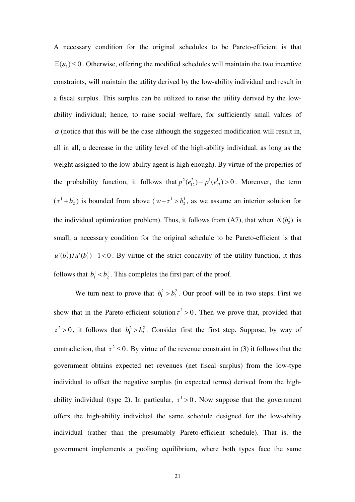A necessary condition for the original schedules to be Pareto-efficient is that  $\Xi(\varepsilon_2) \leq 0$ . Otherwise, offering the modified schedules will maintain the two incentive constraints, will maintain the utility derived by the low-ability individual and result in a fiscal surplus. This surplus can be utilized to raise the utility derived by the lowability individual; hence, to raise social welfare, for sufficiently small values of  $\alpha$  (notice that this will be the case although the suggested modification will result in, all in all, a decrease in the utility level of the high-ability individual, as long as the weight assigned to the low-ability agent is high enough). By virtue of the properties of the probability function, it follows that  $p^2(e_{12}^2) - p^1(e_{12}^1) > 0$ 12  $2 \lambda - n^1$ 12  $p^{2}(e_{12}^{2}) - p^{1}(e_{12}^{1}) > 0$ . Moreover, the term  $(\tau^1 + b_2^1)$ 2  $\tau^1 + b_2^1$ ) is bounded from above ( $w - \tau^1 > b_2^1$ , as we assume an interior solution for the individual optimization problem). Thus, it follows from (A7), that when  $\Delta^1(b_2^1)$  $\Delta^1(b_2^1)$  is small, a necessary condition for the original schedule to be Pareto-efficient is that  $\binom{(b_2^1)}{u'(b_1^1)} - 1 < 0$ 1  $u'(b_2^1)/u'(b_1^1) - 1 < 0$ . By virtue of the strict concavity of the utility function, it thus follows that  $b_1^1 < b_2^1$ 1  $b_1^1 < b_2^1$ . This completes the first part of the proof.

We turn next to prove that  $b_1^2 > b_2^2$ 2  $b_1^2 > b_2^2$ . Our proof will be in two steps. First we show that in the Pareto-efficient solution  $\tau^2 > 0$ . Then we prove that, provided that  $\tau^2 > 0$ , it follows that  $b_1^2 > b_2^2$ 2  $b_1^2 > b_2^2$ . Consider first the first step. Suppose, by way of contradiction, that  $\tau^2 \le 0$ . By virtue of the revenue constraint in (3) it follows that the government obtains expected net revenues (net fiscal surplus) from the low-type individual to offset the negative surplus (in expected terms) derived from the highability individual (type 2). In particular,  $\tau^1 > 0$ . Now suppose that the government offers the high-ability individual the same schedule designed for the low-ability individual (rather than the presumably Pareto-efficient schedule). That is, the government implements a pooling equilibrium, where both types face the same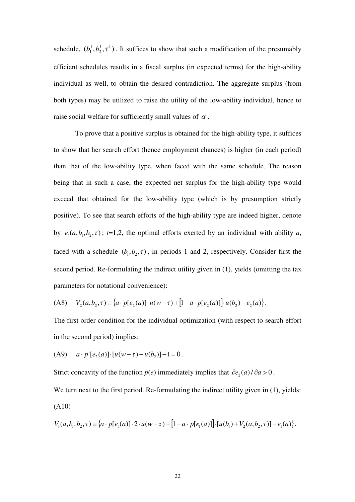schedule,  $(b_1^1, b_2^1, \tau^1)$ 2  $b_1^1, b_2^1, \tau^1$ ). It suffices to show that such a modification of the presumably efficient schedules results in a fiscal surplus (in expected terms) for the high-ability individual as well, to obtain the desired contradiction. The aggregate surplus (from both types) may be utilized to raise the utility of the low-ability individual, hence to raise social welfare for sufficiently small values of  $\alpha$ .

 To prove that a positive surplus is obtained for the high-ability type, it suffices to show that her search effort (hence employment chances) is higher (in each period) than that of the low-ability type, when faced with the same schedule. The reason being that in such a case, the expected net surplus for the high-ability type would exceed that obtained for the low-ability type (which is by presumption strictly positive). To see that search efforts of the high-ability type are indeed higher, denote by  $e_t(a, b_1, b_2, \tau)$ ;  $t=1,2$ , the optimal efforts exerted by an individual with ability *a*, faced with a schedule  $(b_1, b_2, \tau)$ , in periods 1 and 2, respectively. Consider first the second period. Re-formulating the indirect utility given in (1), yields (omitting the tax parameters for notational convenience):

$$
(A8) \tV_2(a,b_2,\tau) \equiv \{a \cdot p[e_2(a)] \cdot u(w-\tau) + [1-a \cdot p[e_2(a)]] \cdot u(b_2) - e_2(a) \}.
$$

The first order condition for the individual optimization (with respect to search effort in the second period) implies:

(A9) 
$$
a \cdot p'[e_2(a)] \cdot [u(w-\tau)-u(b_2)]-1=0.
$$

Strict concavity of the function  $p(e)$  immediately implies that  $\partial e_2(a)/\partial a > 0$ .

We turn next to the first period. Re-formulating the indirect utility given in (1), yields: (A10)

$$
V_1(a, b_1, b_2, \tau) = \left\{a \cdot p[e_1(a)] \cdot 2 \cdot u(w - \tau) + \left[1 - a \cdot p[e_1(a)]\right] \cdot [u(b_1) + V_2(a, b_2, \tau)] - e_1(a)\right\}.
$$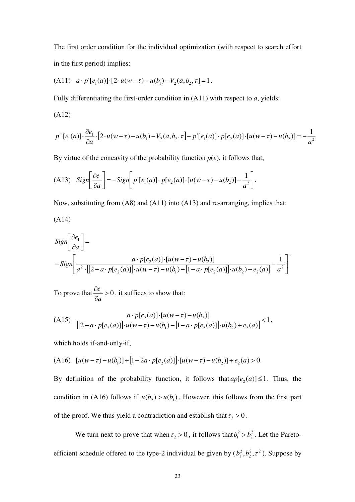The first order condition for the individual optimization (with respect to search effort in the first period) implies:

(A11) 
$$
a \cdot p'[e_1(a)] \cdot [2 \cdot u(w-\tau) - u(b_1) - V_2(a,b_2,\tau)] = 1.
$$

Fully differentiating the first-order condition in (A11) with respect to *a*, yields:

$$
(A12)
$$

$$
p''[e_1(a)] \cdot \frac{\partial e_1}{\partial a} \cdot [2 \cdot u(w - \tau) - u(b_1) - V_2(a, b_2, \tau] - p'[e_1(a)] \cdot p[e_2(a)] \cdot [u(w - \tau) - u(b_2)] = -\frac{1}{a^2}
$$

By virtue of the concavity of the probability function  $p(e)$ , it follows that,

(A13) 
$$
Sign\left[\frac{\partial e_1}{\partial a}\right] = -Sign\left[p'[e_1(a)] \cdot p[e_2(a)] \cdot [u(w-\tau) - u(b_2)] - \frac{1}{a^2}\right].
$$

Now, substituting from (A8) and (A11) into (A13) and re-arranging, implies that:

$$
(A14)
$$

$$
Sign\left[\frac{\partial e_1}{\partial a}\right] =
$$
\n
$$
-Sign\left[\frac{a \cdot p[e_2(a)] \cdot [u(w-\tau) - u(b_2)]}{a^2 \cdot [[2-a \cdot p[e_2(a)]] \cdot u(w-\tau) - u(b_1) - [1-a \cdot p[e_2(a)]] \cdot u(b_2) + e_2(a)]} - \frac{1}{a^2}\right]
$$

To prove that  $\frac{1}{2} > 0$ ∂ ∂ *a*  $\frac{e_1}{e_2} > 0$ , it suffices to show that:

(A15) 
$$
\frac{a \cdot p[e_2(a)] \cdot [u(w-\tau) - u(b_2)]}{\left[\left[2 - a \cdot p[e_2(a)]\right] \cdot u(w-\tau) - u(b_1) - \left[1 - a \cdot p[e_2(a)]\right] \cdot u(b_2) + e_2(a)\right]} < 1,
$$

which holds if-and-only-if,

(A16) 
$$
[u(w-\tau)-u(b_1)]+[1-2a\cdot p[e_2(a)]]\cdot[u(w-\tau)-u(b_2)]+e_2(a)>0.
$$

By definition of the probability function, it follows that  $ap[e_2(a)] \leq 1$ . Thus, the condition in (A16) follows if  $u(b_2) > u(b_1)$ . However, this follows from the first part of the proof. We thus yield a contradiction and establish that  $\tau_2 > 0$ .

We turn next to prove that when  $\tau_2 > 0$ , it follows that  $b_1^2 > b_2^2$ 2  $b_1^2 > b_2^2$ . Let the Paretoefficient schedule offered to the type-2 individual be given by  $(b_1^2, b_2^2, \tau^2)$ 2  $b_1^2, b_2^2, \tau^2$ ). Suppose by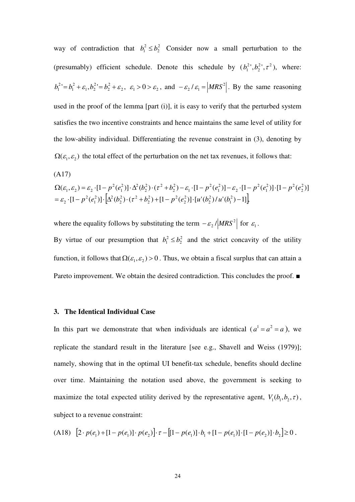way of contradiction that  $b_1^2 \leq b_2^2$ 2  $b_1^2 \leq b_2^2$  Consider now a small perturbation to the (presumably) efficient schedule. Denote this schedule by  $(b_1^2, b_2^2, \tau^2)$ 2  $b_1^{2^i}, b_2^{2^i}, \tau^2$ ), where: 2 2 2 2  $1, \nu_2$ 2 1 2  $b_1^2 = b_1^2 + \varepsilon_1, b_2^2 = b_2^2 + \varepsilon_2, \quad \varepsilon_1 > 0 > \varepsilon_2$ , and  $-\varepsilon_2 / \varepsilon_1 = |MRS^2|$ . By the same reasoning used in the proof of the lemma [part (i)], it is easy to verify that the perturbed system satisfies the two incentive constraints and hence maintains the same level of utility for the low-ability individual. Differentiating the revenue constraint in (3), denoting by  $\Omega(\varepsilon_1, \varepsilon_2)$  the total effect of the perturbation on the net tax revenues, it follows that:

(A17)  
\n
$$
\Omega(\varepsilon_1, \varepsilon_2) = \varepsilon_2 \cdot [1 - p^2(e_1^2)] \cdot \Delta^2(b_2^2) \cdot (\tau^2 + b_2^2) - \varepsilon_1 \cdot [1 - p^2(e_1^2)] - \varepsilon_2 \cdot [1 - p^2(e_1^2)] \cdot [1 - p^2(e_2^2)]
$$
\n
$$
= \varepsilon_2 \cdot [1 - p^2(e_1^2)] \cdot [\Delta^2(b_2^2) \cdot (\tau^2 + b_2^2) + [1 - p^2(e_2^2)] \cdot [u'(b_2^2)/u'(b_1^2) - 1]]
$$

where the equality follows by substituting the term  $-\varepsilon_2 / |MRS^2|$  for  $\varepsilon_1$ .

By virtue of our presumption that  $b_1^2 \leq b_2^2$ 2  $b_1^2 \leq b_2^2$  and the strict concavity of the utility function, it follows that  $\Omega(\varepsilon_1, \varepsilon_2) > 0$ . Thus, we obtain a fiscal surplus that can attain a Pareto improvement. We obtain the desired contradiction. This concludes the proof. ■

#### **3. The Identical Individual Case**

In this part we demonstrate that when individuals are identical  $(a^1 = a^2 = a)$ , we replicate the standard result in the literature [see e.g., Shavell and Weiss (1979)]; namely, showing that in the optimal UI benefit-tax schedule, benefits should decline over time. Maintaining the notation used above, the government is seeking to maximize the total expected utility derived by the representative agent,  $V_1(b_1, b_2, \tau)$ , subject to a revenue constraint:

(A18) 
$$
\left[2 \cdot p(e_1) + [1 - p(e_1)] \cdot p(e_2)\right] \cdot \tau - \left[ [1 - p(e_1)] \cdot b_1 + [1 - p(e_1)] \cdot [1 - p(e_2)] \cdot b_2 \right] \ge 0.
$$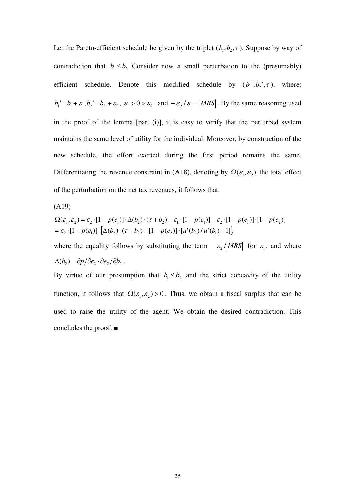Let the Pareto-efficient schedule be given by the triplet  $(b_1, b_2, \tau)$ . Suppose by way of contradiction that  $b_1 \leq b_2$  Consider now a small perturbation to the (presumably) efficient schedule. Denote this modified schedule by  $(b_1, b_2, \tau)$ , where:  $b_1 = b_1 + \varepsilon_1$ ,  $b_2 = b_2 + \varepsilon_2$ ,  $\varepsilon_1 > 0 > \varepsilon_2$ , and  $-\varepsilon_2 / \varepsilon_1 = |MRS|$ . By the same reasoning used in the proof of the lemma [part (i)], it is easy to verify that the perturbed system maintains the same level of utility for the individual. Moreover, by construction of the new schedule, the effort exerted during the first period remains the same. Differentiating the revenue constraint in (A18), denoting by  $\Omega(\varepsilon_1, \varepsilon_2)$  the total effect of the perturbation on the net tax revenues, it follows that:

(A19)

$$
\Omega(\varepsilon_1, \varepsilon_2) = \varepsilon_2 \cdot [1 - p(e_1)] \cdot \Delta(b_2) \cdot (\tau + b_2) - \varepsilon_1 \cdot [1 - p(e_1)] - \varepsilon_2 \cdot [1 - p(e_1)] \cdot [1 - p(e_2)]
$$
  
=  $\varepsilon_2 \cdot [1 - p(e_1)] \cdot [\Delta(b_2) \cdot (\tau + b_2) + [1 - p(e_2)] \cdot [u'(b_2)/u'(b_1) - 1]]$ ,

where the equality follows by substituting the term  $-\varepsilon_2 / |MRS|$  for  $\varepsilon_1$ , and where  $\Delta(b_2) = \partial p / \partial e_2 \cdot \partial e_2 / \partial b_2$ .

By virtue of our presumption that  $b_1 \leq b_2$  and the strict concavity of the utility function, it follows that  $\Omega(\varepsilon_1, \varepsilon_2) > 0$ . Thus, we obtain a fiscal surplus that can be used to raise the utility of the agent. We obtain the desired contradiction. This concludes the proof. ■